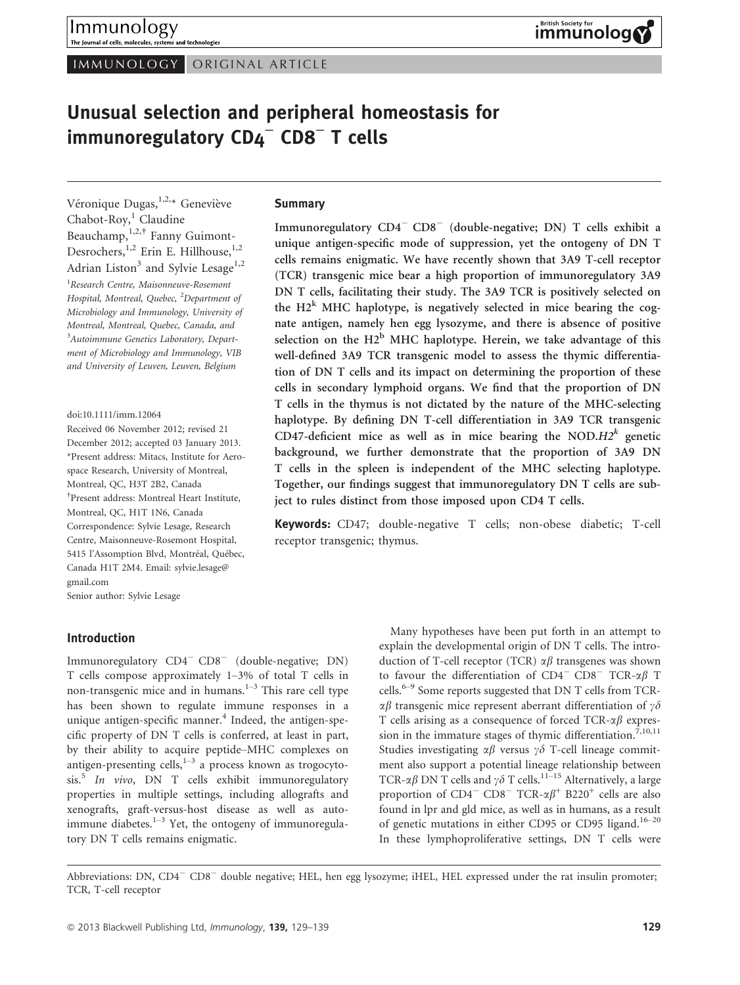IMMUNOLOGY ORIGINAL ARTICLE

# Unusual selection and peripheral homeostasis for immunoregulatory CD4<sup>−</sup> CD8<sup>−</sup> T cells

Véronique Dugas, 1,2,\* Geneviève Chabot-Roy, $^1$  Claudine Beauchamp,  $1,2,†$  Fanny Guimont-Desrochers,  $^{1,2}$  Erin E. Hillhouse,  $^{1,2}$ Adrian Liston<sup>3</sup> and Sylvie Lesage<sup>1,2</sup> <sup>1</sup> Research Centre, Maisonneuve-Rosemont Hospital, Montreal, Quebec, <sup>2</sup>Department of Microbiology and Immunology, University of Montreal, Montreal, Quebec, Canada, and <sup>3</sup>Autoimmune Genetics Laboratory, Department of Microbiology and Immunology, VIB and University of Leuven, Leuven, Belgium

doi:10.1111/imm.12064

Received 06 November 2012; revised 21 December 2012; accepted 03 January 2013. \*Present address: Mitacs, Institute for Aerospace Research, University of Montreal, Montreal, QC, H3T 2B2, Canada † Present address: Montreal Heart Institute, Montreal, QC, H1T 1N6, Canada Correspondence: Sylvie Lesage, Research Centre, Maisonneuve-Rosemont Hospital, 5415 l'Assomption Blvd, Montréal, Québec, Canada H1T 2M4. Email: sylvie.lesage@ gmail.com Senior author: Sylvie Lesage

# Introduction

Immunoregulatory CD4<sup>-</sup> CD8<sup>-</sup> (double-negative; DN) T cells compose approximately 1–3% of total T cells in non-transgenic mice and in humans. $1-3$  This rare cell type has been shown to regulate immune responses in a unique antigen-specific manner.<sup>4</sup> Indeed, the antigen-specific property of DN T cells is conferred, at least in part, by their ability to acquire peptide–MHC complexes on antigen-presenting cells, $1-3$  a process known as trogocyto $sis.<sup>5</sup>$  In vivo, DN T cells exhibit immunoregulatory properties in multiple settings, including allografts and xenografts, graft-versus-host disease as well as autoimmune diabetes. $1-3$  Yet, the ontogeny of immunoregulatory DN T cells remains enigmatic.

#### Summary

Immunoregulatory CD4<sup>-</sup> CD8<sup>-</sup> (double-negative; DN) T cells exhibit a unique antigen-specific mode of suppression, yet the ontogeny of DN T cells remains enigmatic. We have recently shown that 3A9 T-cell receptor (TCR) transgenic mice bear a high proportion of immunoregulatory 3A9 DN T cells, facilitating their study. The 3A9 TCR is positively selected on the  $H2<sup>k</sup>$  MHC haplotype, is negatively selected in mice bearing the cognate antigen, namely hen egg lysozyme, and there is absence of positive selection on the  $H2^b$  MHC haplotype. Herein, we take advantage of this well-defined 3A9 TCR transgenic model to assess the thymic differentiation of DN T cells and its impact on determining the proportion of these cells in secondary lymphoid organs. We find that the proportion of DN T cells in the thymus is not dictated by the nature of the MHC-selecting haplotype. By defining DN T-cell differentiation in 3A9 TCR transgenic CD47-deficient mice as well as in mice bearing the NOD. $H2^k$  genetic background, we further demonstrate that the proportion of 3A9 DN T cells in the spleen is independent of the MHC selecting haplotype. Together, our findings suggest that immunoregulatory DN T cells are subject to rules distinct from those imposed upon CD4 T cells.

Keywords: CD47; double-negative T cells; non-obese diabetic; T-cell receptor transgenic; thymus.

> Many hypotheses have been put forth in an attempt to explain the developmental origin of DN T cells. The introduction of T-cell receptor (TCR)  $\alpha\beta$  transgenes was shown to favour the differentiation of  $CD4^-$  CD8<sup>-</sup> TCR- $\alpha\beta$  T cells.<sup>6–9</sup> Some reports suggested that DN T cells from TCR- $\alpha\beta$  transgenic mice represent aberrant differentiation of  $\gamma\delta$ T cells arising as a consequence of forced TCR- $\alpha\beta$  expression in the immature stages of thymic differentiation.<sup> $7,10,11$ </sup> Studies investigating  $\alpha\beta$  versus  $\gamma\delta$  T-cell lineage commitment also support a potential lineage relationship between TCR- $\alpha\beta$  DN T cells and  $\gamma\delta$  T cells.<sup>11–15</sup> Alternatively, a large proportion of  $CD4$ <sup>-</sup>  $CD8$ <sup>-</sup> TCR- $\alpha\beta$ <sup>+</sup> B220<sup>+</sup> cells are also found in lpr and gld mice, as well as in humans, as a result of genetic mutations in either CD95 or CD95 ligand.<sup>16–20</sup> In these lymphoproliferative settings, DN T cells were

Abbreviations: DN, CD4<sup>-</sup> CD8<sup>-</sup> double negative; HEL, hen egg lysozyme; iHEL, HEL expressed under the rat insulin promoter; TCR, T-cell receptor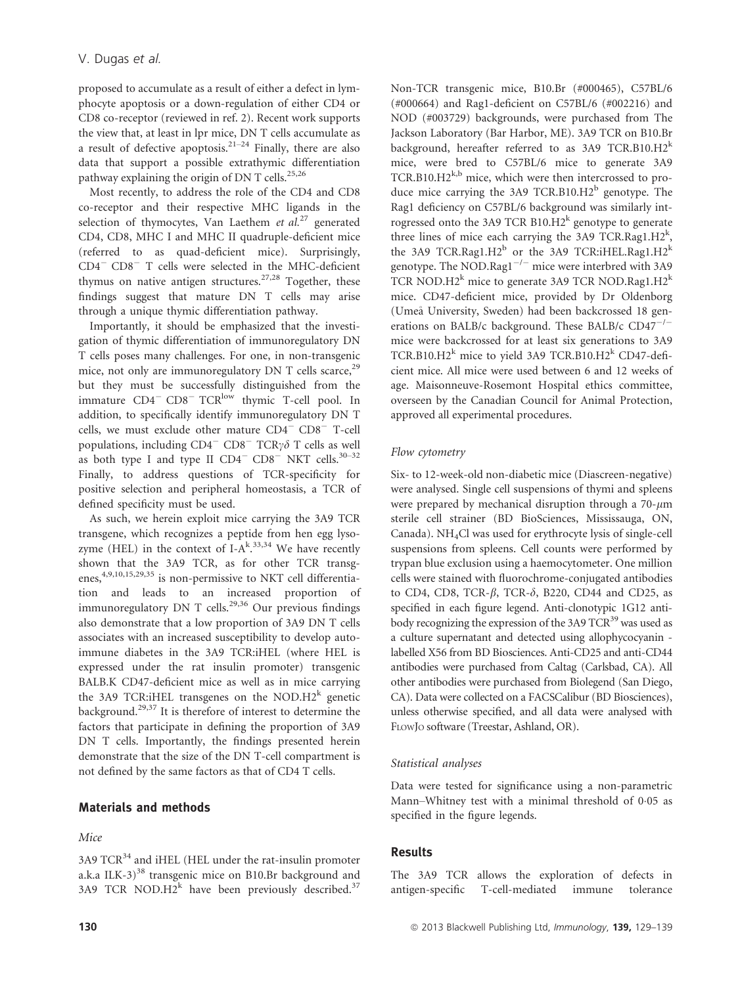proposed to accumulate as a result of either a defect in lymphocyte apoptosis or a down-regulation of either CD4 or CD8 co-receptor (reviewed in ref. 2). Recent work supports the view that, at least in lpr mice, DN T cells accumulate as a result of defective apoptosis.<sup>21–24</sup> Finally, there are also data that support a possible extrathymic differentiation pathway explaining the origin of DN T cells.<sup>25,26</sup>

Most recently, to address the role of the CD4 and CD8 co-receptor and their respective MHC ligands in the selection of thymocytes, Van Laethem et  $al^{27}$  generated CD4, CD8, MHC I and MHC II quadruple-deficient mice (referred to as quad-deficient mice). Surprisingly,  $CD4$ <sup>-</sup>  $CD8$ <sup>-</sup> T cells were selected in the MHC-deficient thymus on native antigen structures.<sup>27,28</sup> Together, these findings suggest that mature DN T cells may arise through a unique thymic differentiation pathway.

Importantly, it should be emphasized that the investigation of thymic differentiation of immunoregulatory DN T cells poses many challenges. For one, in non-transgenic mice, not only are immunoregulatory  $DN$  T cells scarce,<sup>29</sup> but they must be successfully distinguished from the immature CD4<sup>-</sup> CD8<sup>-</sup> TCR<sup>low</sup> thymic T-cell pool. In addition, to specifically identify immunoregulatory DN T cells, we must exclude other mature  $CD4$ <sup>-</sup>  $CD8$ <sup>-</sup> T-cell populations, including  $CD4^ CD8^-$  TCR $\gamma\delta$  T cells as well as both type I and type II  $CD4^ CD8^-$  NKT cells.<sup>30-32</sup> Finally, to address questions of TCR-specificity for positive selection and peripheral homeostasis, a TCR of defined specificity must be used.

As such, we herein exploit mice carrying the 3A9 TCR transgene, which recognizes a peptide from hen egg lysozyme (HEL) in the context of I-A $k$ <sup>33,34</sup> We have recently shown that the 3A9 TCR, as for other TCR transgenes,<sup>4,9,10,15,29,35</sup> is non-permissive to NKT cell differentiation and leads to an increased proportion of immunoregulatory DN T cells.<sup>29,36</sup> Our previous findings also demonstrate that a low proportion of 3A9 DN T cells associates with an increased susceptibility to develop autoimmune diabetes in the 3A9 TCR:iHEL (where HEL is expressed under the rat insulin promoter) transgenic BALB.K CD47-deficient mice as well as in mice carrying the 3A9 TCR:iHEL transgenes on the NOD.H2<sup>k</sup> genetic background.29,37 It is therefore of interest to determine the factors that participate in defining the proportion of 3A9 DN T cells. Importantly, the findings presented herein demonstrate that the size of the DN T-cell compartment is not defined by the same factors as that of CD4 T cells.

# Materials and methods

#### Mice

 $3A9$  TCR<sup>34</sup> and iHEL (HEL under the rat-insulin promoter a.k.a ILK-3) $38$  transgenic mice on B10.Br background and 3A9 TCR NOD. $H2^k$  have been previously described.<sup>37</sup>

Non-TCR transgenic mice, B10.Br (#000465), C57BL/6 (#000664) and Rag1-deficient on C57BL/6 (#002216) and NOD (#003729) backgrounds, were purchased from The Jackson Laboratory (Bar Harbor, ME). 3A9 TCR on B10.Br background, hereafter referred to as  $3A9$  TCR.B10.H2<sup>k</sup> mice, were bred to C57BL/6 mice to generate 3A9 TCR.B10.H $2^{k,b}$  mice, which were then intercrossed to produce mice carrying the 3A9 TCR.B10.H2 $^{\rm b}$  genotype. The Rag1 deficiency on C57BL/6 background was similarly introgressed onto the 3A9 TCR B10.H2 $^k$  genotype to generate three lines of mice each carrying the 3A9 TCR.Rag1.H2<sup>k</sup>, the 3A9 TCR.Rag1.H2<sup>b</sup> or the 3A9 TCR:iHEL.Rag1.H2<sup>k</sup> genotype. The NOD.Rag1<sup> $-/-$ </sup> mice were interbred with 3A9 TCR NOD.H2<sup>k</sup> mice to generate 3A9 TCR NOD.Rag1.H2<sup>k</sup> mice. CD47-deficient mice, provided by Dr Oldenborg (Umea University, Sweden) had been backcrossed 18 generations on BALB/c background. These BALB/c  $CD47^{-/-}$ mice were backcrossed for at least six generations to 3A9 TCR.B10.H2<sup>k</sup> mice to yield 3A9 TCR.B10.H2<sup>k</sup> CD47-deficient mice. All mice were used between 6 and 12 weeks of age. Maisonneuve-Rosemont Hospital ethics committee, overseen by the Canadian Council for Animal Protection, approved all experimental procedures.

#### Flow cytometry

Six- to 12-week-old non-diabetic mice (Diascreen-negative) were analysed. Single cell suspensions of thymi and spleens were prepared by mechanical disruption through a  $70$ - $\mu$ m sterile cell strainer (BD BioSciences, Mississauga, ON, Canada).  $NH<sub>4</sub>Cl$  was used for erythrocyte lysis of single-cell suspensions from spleens. Cell counts were performed by trypan blue exclusion using a haemocytometer. One million cells were stained with fluorochrome-conjugated antibodies to CD4, CD8, TCR- $\beta$ , TCR- $\delta$ , B220, CD44 and CD25, as specified in each figure legend. Anti-clonotypic 1G12 antibody recognizing the expression of the 3A9 TCR<sup>39</sup> was used as a culture supernatant and detected using allophycocyanin labelled X56 from BD Biosciences. Anti-CD25 and anti-CD44 antibodies were purchased from Caltag (Carlsbad, CA). All other antibodies were purchased from Biolegend (San Diego, CA). Data were collected on a FACSCalibur (BD Biosciences), unless otherwise specified, and all data were analysed with FLOWJO software (Treestar, Ashland, OR).

#### Statistical analyses

Data were tested for significance using a non-parametric Mann–Whitney test with a minimal threshold of 0.05 as specified in the figure legends.

#### Results

The 3A9 TCR allows the exploration of defects in antigen-specific T-cell-mediated immune tolerance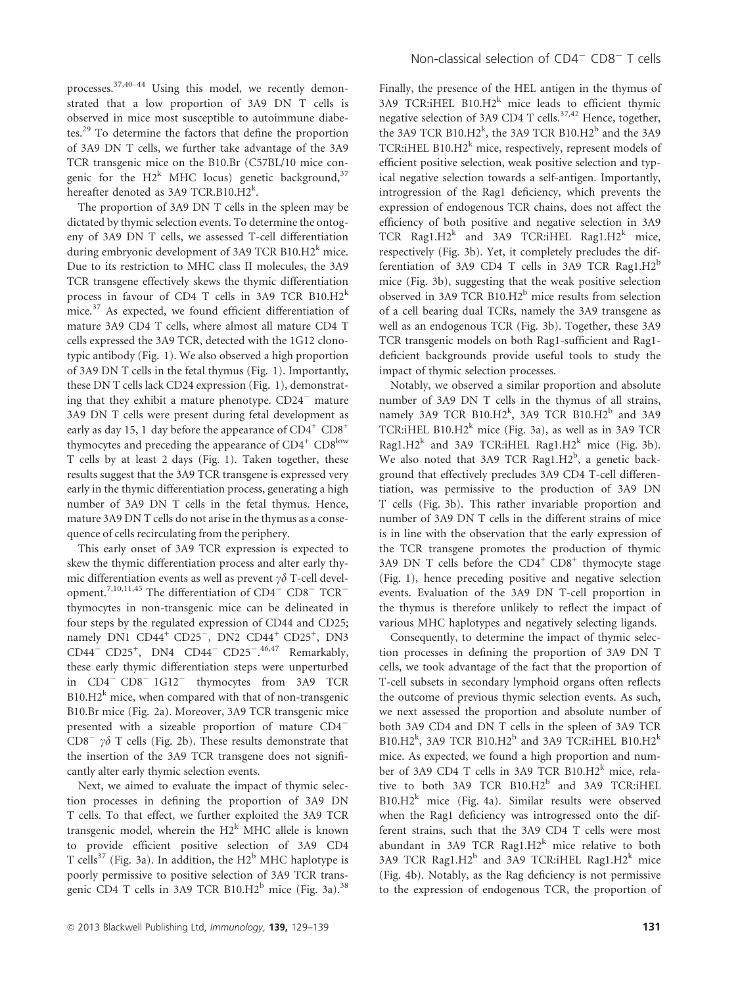processes.<sup>37,40–44</sup> Using this model, we recently demonstrated that a low proportion of 3A9 DN T cells is observed in mice most susceptible to autoimmune diabetes.<sup>29</sup> To determine the factors that define the proportion of 3A9 DN T cells, we further take advantage of the 3A9 TCR transgenic mice on the B10.Br (C57BL/10 mice congenic for the  $H2^k$  MHC locus) genetic background,<sup>37</sup> hereafter denoted as 3A9 TCR.B10.H2<sup>k</sup>.

The proportion of 3A9 DN T cells in the spleen may be dictated by thymic selection events. To determine the ontogeny of 3A9 DN T cells, we assessed T-cell differentiation during embryonic development of 3A9 TCR B10.H2 $^k$  mice. Due to its restriction to MHC class II molecules, the 3A9 TCR transgene effectively skews the thymic differentiation process in favour of CD4 T cells in 3A9 TCR B10.H2<sup>k</sup> mice.<sup>37</sup> As expected, we found efficient differentiation of mature 3A9 CD4 T cells, where almost all mature CD4 T cells expressed the 3A9 TCR, detected with the 1G12 clonotypic antibody (Fig. 1). We also observed a high proportion of 3A9 DN T cells in the fetal thymus (Fig. 1). Importantly, these DN T cells lack CD24 expression (Fig. 1), demonstrating that they exhibit a mature phenotype.  $CD24$ <sup>-</sup> mature 3A9 DN T cells were present during fetal development as early as day 15, 1 day before the appearance of  $CD4^+$   $CD8^+$ thymocytes and preceding the appearance of  $CD4^+$   $CD8^{\text{low}}$ T cells by at least 2 days (Fig. 1). Taken together, these results suggest that the 3A9 TCR transgene is expressed very early in the thymic differentiation process, generating a high number of 3A9 DN T cells in the fetal thymus. Hence, mature 3A9 DN T cells do not arise in the thymus as a consequence of cells recirculating from the periphery.

This early onset of 3A9 TCR expression is expected to skew the thymic differentiation process and alter early thymic differentiation events as well as prevent  $\gamma \delta$  T-cell development.<sup>7,10,11,45</sup> The differentiation of  $CD4^ CD8^ TCR^$ thymocytes in non-transgenic mice can be delineated in four steps by the regulated expression of CD44 and CD25; namely DN1 CD44<sup>+</sup> CD25<sup>-</sup>, DN2 CD44<sup>+</sup> CD25<sup>+</sup>, DN3 CD44<sup>-</sup> CD25<sup>+</sup>, DN4 CD44<sup>-</sup> CD25<sup>-</sup>.<sup>46,47</sup> Remarkably, these early thymic differentiation steps were unperturbed in CD4<sup>-</sup> CD8<sup>-</sup> 1G12<sup>-</sup> thymocytes from 3A9 TCR  $B10.H2<sup>k</sup>$  mice, when compared with that of non-transgenic B10.Br mice (Fig. 2a). Moreover, 3A9 TCR transgenic mice presented with a sizeable proportion of mature CD4  $CD8^ \gamma\delta$  T cells (Fig. 2b). These results demonstrate that the insertion of the 3A9 TCR transgene does not significantly alter early thymic selection events.

Next, we aimed to evaluate the impact of thymic selection processes in defining the proportion of 3A9 DN T cells. To that effect, we further exploited the 3A9 TCR transgenic model, wherein the  $H2^k$  MHC allele is known to provide efficient positive selection of 3A9 CD4 T cells<sup>37</sup> (Fig. 3a). In addition, the  $H2^b$  MHC haplotype is poorly permissive to positive selection of 3A9 TCR transgenic CD4 T cells in 3A9 TCR B10.H2<sup>b</sup> mice (Fig. 3a).<sup>38</sup> Finally, the presence of the HEL antigen in the thymus of 3A9 TCR:iHEL  $B10.H2^k$  mice leads to efficient thymic negative selection of 3A9 CD4 T cells.<sup>37,42</sup> Hence, together, the 3A9 TCR  $B10.H2^k$ , the 3A9 TCR  $B10.H2^b$  and the 3A9 TCR:iHEL B10.H2 $^k$  mice, respectively, represent models of efficient positive selection, weak positive selection and typical negative selection towards a self-antigen. Importantly, introgression of the Rag1 deficiency, which prevents the expression of endogenous TCR chains, does not affect the efficiency of both positive and negative selection in 3A9 TCR Rag1.H2 $k$  and 3A9 TCR:iHEL Rag1.H2 $k$  mice, respectively (Fig. 3b). Yet, it completely precludes the differentiation of 3A9 CD4 T cells in 3A9 TCR Rag1. $H2^b$ mice (Fig. 3b), suggesting that the weak positive selection observed in 3A9 TCR  $B10.H2^b$  mice results from selection of a cell bearing dual TCRs, namely the 3A9 transgene as well as an endogenous TCR (Fig. 3b). Together, these 3A9 TCR transgenic models on both Rag1-sufficient and Rag1 deficient backgrounds provide useful tools to study the impact of thymic selection processes.

Notably, we observed a similar proportion and absolute number of 3A9 DN T cells in the thymus of all strains, namely 3A9 TCR  $B10.H2^k$ , 3A9 TCR  $B10.H2^b$  and 3A9 TCR: iHEL B10.H2<sup>k</sup> mice (Fig. 3a), as well as in 3A9 TCR Rag1.H2<sup>k</sup> and 3A9 TCR:iHEL Rag1.H2<sup>k</sup> mice (Fig. 3b). We also noted that 3A9 TCR Rag1.H2<sup>b</sup>, a genetic background that effectively precludes 3A9 CD4 T-cell differentiation, was permissive to the production of 3A9 DN T cells (Fig. 3b). This rather invariable proportion and number of 3A9 DN T cells in the different strains of mice is in line with the observation that the early expression of the TCR transgene promotes the production of thymic 3A9 DN T cells before the  $CD4^+$   $CD8^+$  thymocyte stage (Fig. 1), hence preceding positive and negative selection events. Evaluation of the 3A9 DN T-cell proportion in the thymus is therefore unlikely to reflect the impact of various MHC haplotypes and negatively selecting ligands.

Consequently, to determine the impact of thymic selection processes in defining the proportion of 3A9 DN T cells, we took advantage of the fact that the proportion of T-cell subsets in secondary lymphoid organs often reflects the outcome of previous thymic selection events. As such, we next assessed the proportion and absolute number of both 3A9 CD4 and DN T cells in the spleen of 3A9 TCR B10.H2<sup>k</sup>, 3A9 TCR B10.H2<sup>b</sup> and 3A9 TCR:iHEL B10.H2<sup>k</sup> mice. As expected, we found a high proportion and number of 3A9 CD4 T cells in 3A9 TCR B10.H2 $^{\rm k}$  mice, relative to both 3A9 TCR B10.H2<sup>b</sup> and 3A9 TCR:iHEL  $B10.H2^k$  mice (Fig. 4a). Similar results were observed when the Rag1 deficiency was introgressed onto the different strains, such that the 3A9 CD4 T cells were most abundant in 3A9 TCR Rag1. $H2^k$  mice relative to both 3A9 TCR Rag1.H2 $^{\rm b}$  and 3A9 TCR:iHEL Rag1.H2 $^{\rm k}$  mice (Fig. 4b). Notably, as the Rag deficiency is not permissive to the expression of endogenous TCR, the proportion of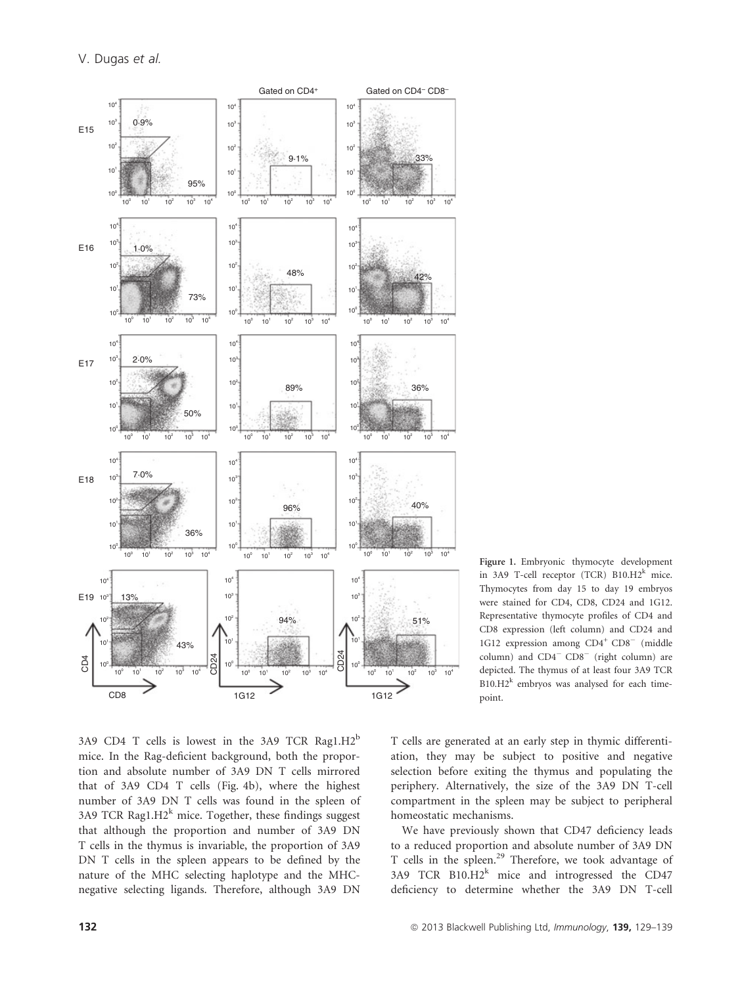

Figure 1. Embryonic thymocyte development in 3A9 T-cell receptor (TCR)  $B10.H2^k$  mice. Thymocytes from day 15 to day 19 embryos were stained for CD4, CD8, CD24 and 1G12. Representative thymocyte profiles of CD4 and CD8 expression (left column) and CD24 and 1G12 expression among CD4<sup>+</sup> CD8<sup>-</sup> (middle column) and  $CD4 - CD8$  (right column) are depicted. The thymus of at least four 3A9 TCR  $B10.H2^k$  embryos was analysed for each timepoint.

3A9 CD4 T cells is lowest in the 3A9 TCR Rag1. $H2^b$ mice. In the Rag-deficient background, both the proportion and absolute number of 3A9 DN T cells mirrored that of 3A9 CD4 T cells (Fig. 4b), where the highest number of 3A9 DN T cells was found in the spleen of 3A9 TCR Rag1. $H2^k$  mice. Together, these findings suggest that although the proportion and number of 3A9 DN T cells in the thymus is invariable, the proportion of 3A9 DN T cells in the spleen appears to be defined by the nature of the MHC selecting haplotype and the MHCnegative selecting ligands. Therefore, although 3A9 DN

T cells are generated at an early step in thymic differentiation, they may be subject to positive and negative selection before exiting the thymus and populating the periphery. Alternatively, the size of the 3A9 DN T-cell compartment in the spleen may be subject to peripheral homeostatic mechanisms.

We have previously shown that CD47 deficiency leads to a reduced proportion and absolute number of 3A9 DN T cells in the spleen.<sup>29</sup> Therefore, we took advantage of  $3A9$  TCR  $B10.H2^k$  mice and introgressed the CD47 deficiency to determine whether the 3A9 DN T-cell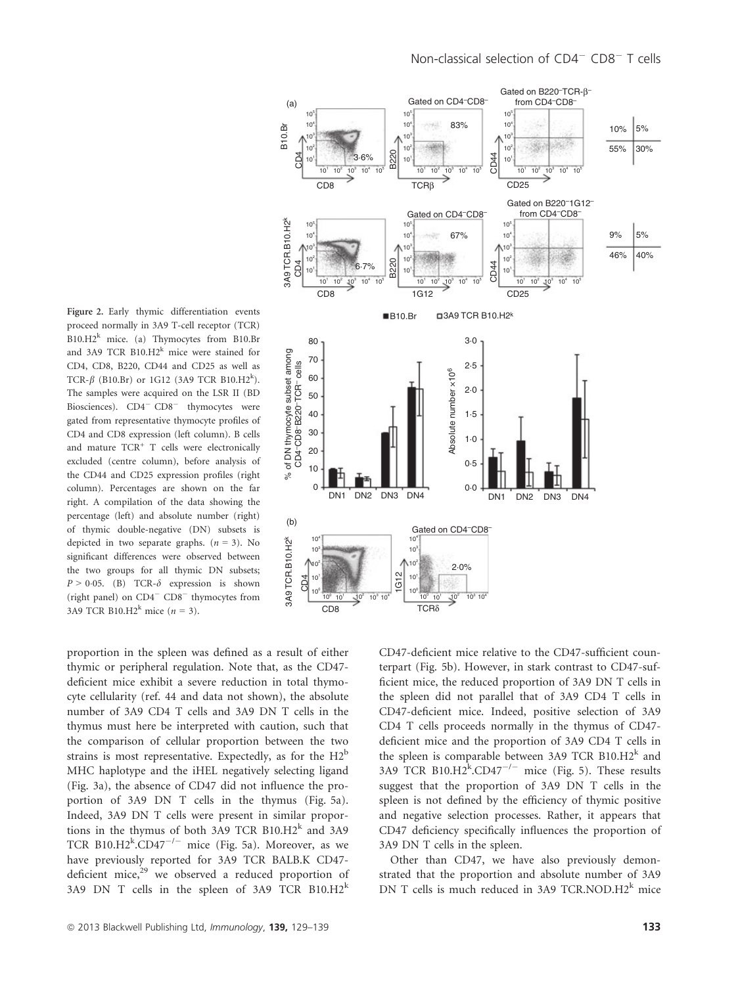Figure 2. Early thymic differentiation events proceed normally in 3A9 T-cell receptor (TCR)  $B10.H2^k$  mice. (a) Thymocytes from B10.Br and 3A9 TCR  $B10.H2^k$  mice were stained for CD4, CD8, B220, CD44 and CD25 as well as TCR- $\beta$  (B10.Br) or 1G12 (3A9 TCR B10.H2<sup>k</sup>). The samples were acquired on the LSR II (BD Biosciences). CD4<sup>-</sup> CD8<sup>-</sup> thymocytes were gated from representative thymocyte profiles of CD4 and CD8 expression (left column). B cells and mature TCR<sup>+</sup> T cells were electronically excluded (centre column), before analysis of the CD44 and CD25 expression profiles (right column). Percentages are shown on the far right. A compilation of the data showing the percentage (left) and absolute number (right) of thymic double-negative (DN) subsets is depicted in two separate graphs.  $(n = 3)$ . No significant differences were observed between the two groups for all thymic DN subsets;  $P > 0.05$ . (B) TCR- $\delta$  expression is shown (right panel) on  $CD4$ <sup>-</sup>  $CD8$ <sup>-</sup> thymocytes from 3A9 TCR B10.H2<sup>k</sup> mice ( $n = 3$ ).

proportion in the spleen was defined as a result of either thymic or peripheral regulation. Note that, as the CD47 deficient mice exhibit a severe reduction in total thymocyte cellularity (ref. 44 and data not shown), the absolute number of 3A9 CD4 T cells and 3A9 DN T cells in the thymus must here be interpreted with caution, such that the comparison of cellular proportion between the two strains is most representative. Expectedly, as for the  $H2^b$ MHC haplotype and the iHEL negatively selecting ligand (Fig. 3a), the absence of CD47 did not influence the proportion of 3A9 DN T cells in the thymus (Fig. 5a). Indeed, 3A9 DN T cells were present in similar proportions in the thymus of both 3A9 TCR B10.H2 $^k$  and 3A9 TCR B10.H2 $\mathrm{k}$ .CD47<sup>-/-</sup> mice (Fig. 5a). Moreover, as we have previously reported for 3A9 TCR BALB.K CD47 deficient mice, $29$  we observed a reduced proportion of 3A9 DN T cells in the spleen of 3A9 TCR  $B10.H2^k$ 



CD47-deficient mice relative to the CD47-sufficient counterpart (Fig. 5b). However, in stark contrast to CD47-sufficient mice, the reduced proportion of 3A9 DN T cells in the spleen did not parallel that of 3A9 CD4 T cells in CD47-deficient mice. Indeed, positive selection of 3A9 CD4 T cells proceeds normally in the thymus of CD47 deficient mice and the proportion of 3A9 CD4 T cells in the spleen is comparable between 3A9 TCR B10.H2 $^k$  and 3A9 TCR B10.H2 $k$ .CD47<sup>-/-</sup> mice (Fig. 5). These results suggest that the proportion of 3A9 DN T cells in the spleen is not defined by the efficiency of thymic positive and negative selection processes. Rather, it appears that CD47 deficiency specifically influences the proportion of 3A9 DN T cells in the spleen.

Other than CD47, we have also previously demonstrated that the proportion and absolute number of 3A9 DN T cells is much reduced in 3A9 TCR.NOD. $H2^k$  mice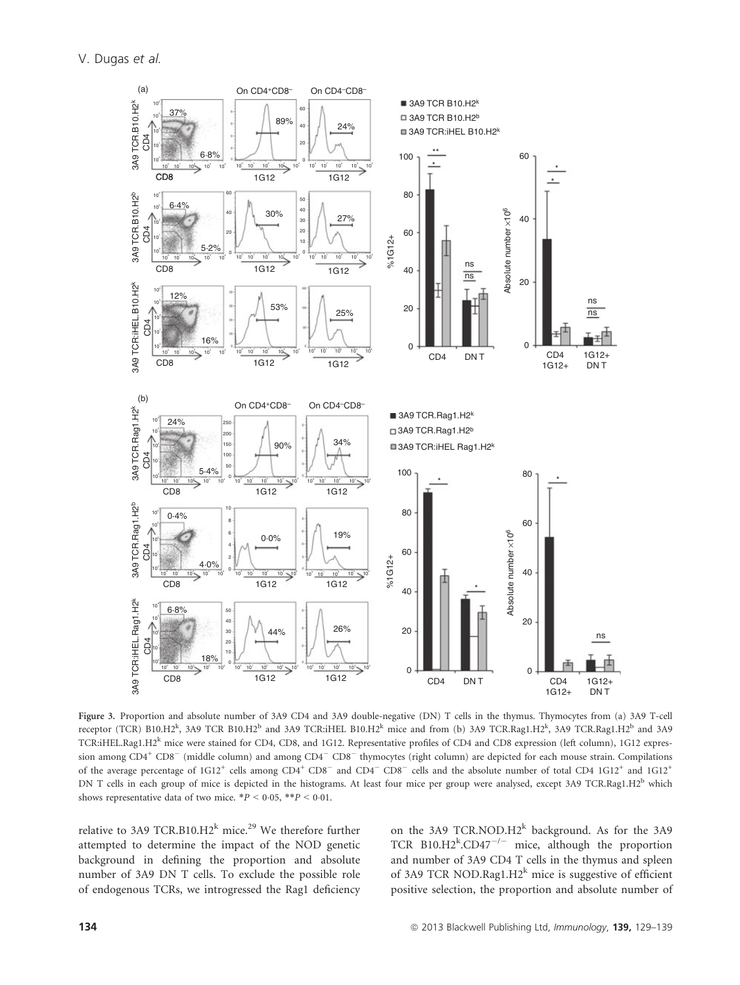

Figure 3. Proportion and absolute number of 3A9 CD4 and 3A9 double-negative (DN) T cells in the thymus. Thymocytes from (a) 3A9 T-cell receptor (TCR) B10.H2<sup>k</sup>, 3A9 TCR B10.H2<sup>b</sup> and 3A9 TCR:iHEL B10.H2<sup>k</sup> mice and from (b) 3A9 TCR.Rag1.H2<sup>k</sup>, 3A9 TCR.Rag1.H2<sup>b</sup> and 3A9 TCR:iHEL.Rag1.H2<sup>k</sup> mice were stained for CD4, CD8, and 1G12. Representative profiles of CD4 and CD8 expression (left column), 1G12 expression among CD4<sup>+</sup> CD8<sup>-</sup> (middle column) and among CD4<sup>-</sup> CD8<sup>-</sup> thymocytes (right column) are depicted for each mouse strain. Compilations of the average percentage of  $1G12^+$  cells among  $CD4^+$   $CD8^-$  and  $CD4^ CD8^-$  cells and the absolute number of total  $CD4$   $1G12^+$  and  $1G12^+$ DN T cells in each group of mice is depicted in the histograms. At least four mice per group were analysed, except 3A9 TCR.Rag1.H2<sup>b</sup> which shows representative data of two mice.  $*P < 0.05$ ,  $*P < 0.01$ .

relative to 3A9 TCR.B10.H2 $^k$  mice.<sup>29</sup> We therefore further attempted to determine the impact of the NOD genetic background in defining the proportion and absolute number of 3A9 DN T cells. To exclude the possible role of endogenous TCRs, we introgressed the Rag1 deficiency on the 3A9 TCR.NOD.H2<sup>k</sup> background. As for the 3A9 TCR B10.H2 $k$ .CD47<sup>-/-</sup> mice, although the proportion and number of 3A9 CD4 T cells in the thymus and spleen of 3A9 TCR NOD.Rag1.H2 $^k$  mice is suggestive of efficient positive selection, the proportion and absolute number of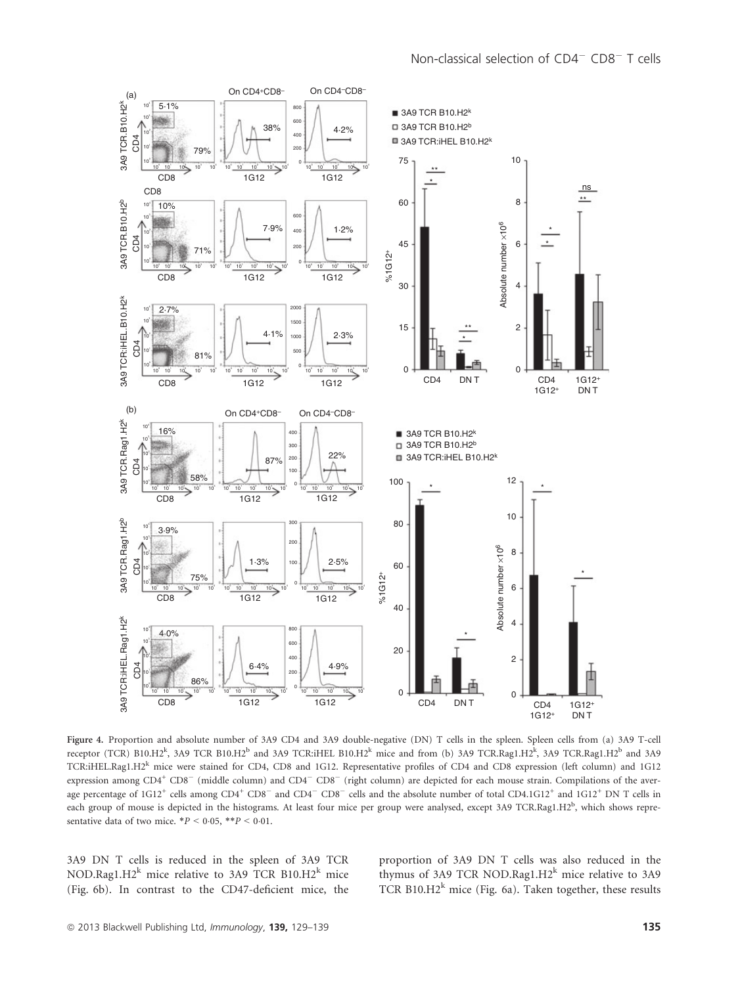

Figure 4. Proportion and absolute number of 3A9 CD4 and 3A9 double-negative (DN) T cells in the spleen. Spleen cells from (a) 3A9 T-cell receptor (TCR) B10.H2<sup>k</sup>, 3A9 TCR B10.H2<sup>b</sup> and 3A9 TCR:iHEL B10.H2<sup>k</sup> mice and from (b) 3A9 TCR.Rag1.H2<sup>k</sup>, 3A9 TCR.Rag1.H2<sup>b</sup> and 3A9 TCR:iHEL.Rag1.H2<sup>k</sup> mice were stained for CD4, CD8 and 1G12. Representative profiles of CD4 and CD8 expression (left column) and 1G12 expression among CD4<sup>+</sup> CD8<sup>-</sup> (middle column) and CD4<sup>-</sup> CD8<sup>-</sup> (right column) are depicted for each mouse strain. Compilations of the average percentage of  $1G12^+$  cells among  $CD4^+$   $CD8^-$  and  $CD4^ CD8^-$  cells and the absolute number of total  $CD4.1G12^+$  and  $1G12^+$  DN T cells in each group of mouse is depicted in the histograms. At least four mice per group were analysed, except 3A9 TCR.Rag1.H2<sup>b</sup>, which shows representative data of two mice.  $*P < 0.05$ ,  $**P < 0.01$ .

3A9 DN T cells is reduced in the spleen of 3A9 TCR NOD.Rag1.H2<sup>k</sup> mice relative to 3A9 TCR B10.H2<sup>k</sup> mice (Fig. 6b). In contrast to the CD47-deficient mice, the proportion of 3A9 DN T cells was also reduced in the thymus of 3A9 TCR NOD.Rag1.H2 $^k$  mice relative to 3A9 TCR B10.H2<sup>k</sup> mice (Fig. 6a). Taken together, these results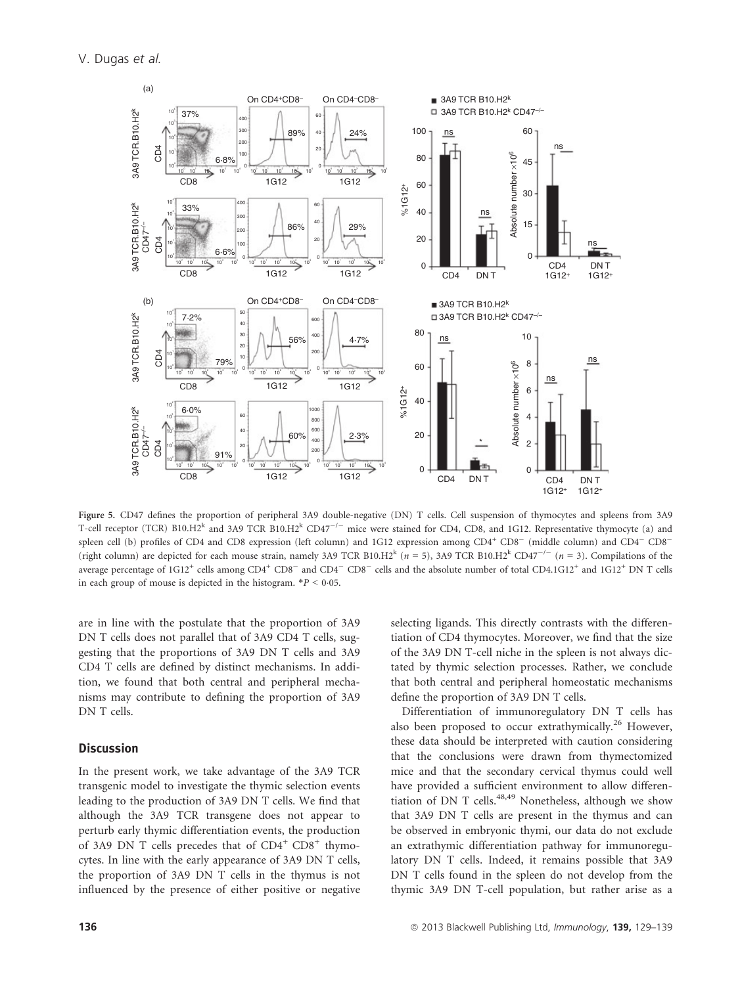

Figure 5. CD47 defines the proportion of peripheral 3A9 double-negative (DN) T cells. Cell suspension of thymocytes and spleens from 3A9 T-cell receptor (TCR) B10.H2<sup>k</sup> and 3A9 TCR B10.H2<sup>k</sup> CD47<sup>-/-</sup> mice were stained for CD4, CD8, and 1G12. Representative thymocyte (a) and spleen cell (b) profiles of CD4 and CD8 expression (left column) and 1G12 expression among CD4<sup>+</sup> CD8<sup>-</sup> (middle column) and CD4<sup>-</sup> CD8<sup>-</sup> (right column) are depicted for each mouse strain, namely 3A9 TCR B10.H2<sup>k</sup> (n = 5), 3A9 TCR B10.H2<sup>k</sup> CD47<sup>-/-</sup> (n = 3). Compilations of the average percentage of  $1G12^+$  cells among  $CD4^+$   $CD8^-$  and  $CD4^ CD8^-$  cells and the absolute number of total  $CD4.1G12^+$  and  $1G12^+$  DN T cells in each group of mouse is depicted in the histogram.  $*P < 0.05$ .

are in line with the postulate that the proportion of 3A9 DN T cells does not parallel that of 3A9 CD4 T cells, suggesting that the proportions of 3A9 DN T cells and 3A9 CD4 T cells are defined by distinct mechanisms. In addition, we found that both central and peripheral mechanisms may contribute to defining the proportion of 3A9 DN T cells.

#### **Discussion**

In the present work, we take advantage of the 3A9 TCR transgenic model to investigate the thymic selection events leading to the production of 3A9 DN T cells. We find that although the 3A9 TCR transgene does not appear to perturb early thymic differentiation events, the production of 3A9 DN T cells precedes that of  $CD4^+$   $CD8^+$  thymocytes. In line with the early appearance of 3A9 DN T cells, the proportion of 3A9 DN T cells in the thymus is not influenced by the presence of either positive or negative

selecting ligands. This directly contrasts with the differentiation of CD4 thymocytes. Moreover, we find that the size of the 3A9 DN T-cell niche in the spleen is not always dictated by thymic selection processes. Rather, we conclude that both central and peripheral homeostatic mechanisms define the proportion of 3A9 DN T cells.

Differentiation of immunoregulatory DN T cells has also been proposed to occur extrathymically.<sup>26</sup> However, these data should be interpreted with caution considering that the conclusions were drawn from thymectomized mice and that the secondary cervical thymus could well have provided a sufficient environment to allow differentiation of DN T cells.<sup>48,49</sup> Nonetheless, although we show that 3A9 DN T cells are present in the thymus and can be observed in embryonic thymi, our data do not exclude an extrathymic differentiation pathway for immunoregulatory DN T cells. Indeed, it remains possible that 3A9 DN T cells found in the spleen do not develop from the thymic 3A9 DN T-cell population, but rather arise as a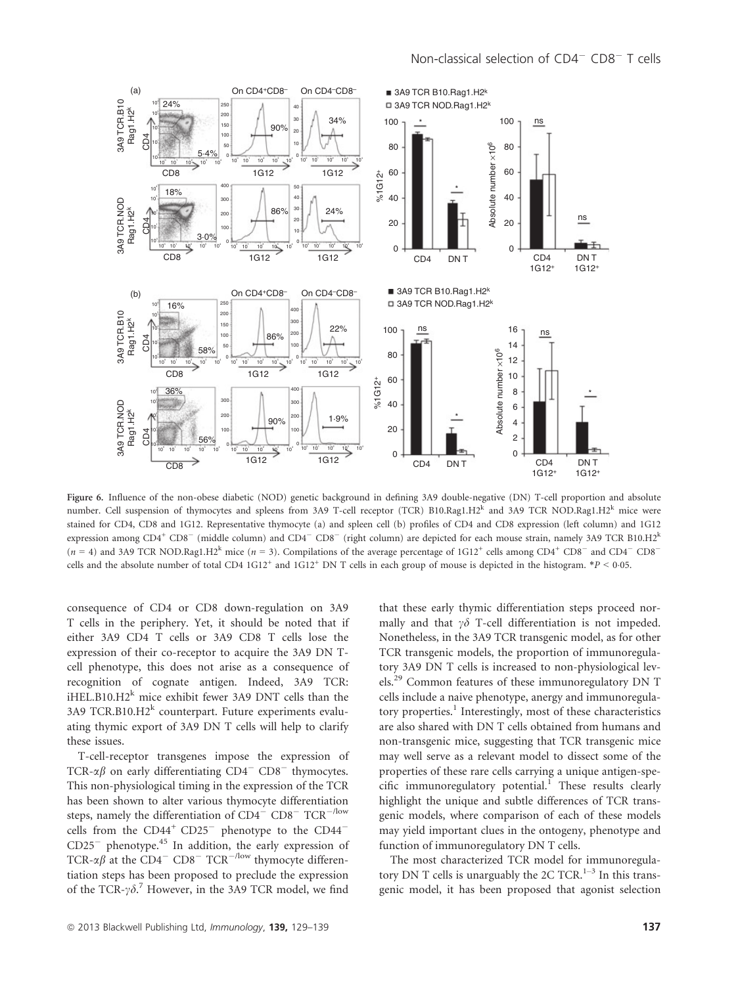

Figure 6. Influence of the non-obese diabetic (NOD) genetic background in defining 3A9 double-negative (DN) T-cell proportion and absolute number. Cell suspension of thymocytes and spleens from 3A9 T-cell receptor (TCR) B10.Rag1.H2<sup>k</sup> and 3A9 TCR NOD.Rag1.H2<sup>k</sup> mice were stained for CD4, CD8 and 1G12. Representative thymocyte (a) and spleen cell (b) profiles of CD4 and CD8 expression (left column) and 1G12 expression among  $CD4^+$   $CD8^-$  (middle column) and  $CD4^ CD8^-$  (right column) are depicted for each mouse strain, namely 3A9 TCR B10.H2<sup>k</sup>  $(n = 4)$  and 3A9 TCR NOD.Rag1.H2<sup>k</sup> mice  $(n = 3)$ . Compilations of the average percentage of 1G12<sup>+</sup> cells among CD4<sup>+</sup> CD8<sup>-</sup> and CD4<sup>-</sup> CD8<sup>-</sup> cells and the absolute number of total CD4  $1G12^+$  and  $1G12^+$  DN T cells in each group of mouse is depicted in the histogram. \*P < 0.05.

consequence of CD4 or CD8 down-regulation on 3A9 T cells in the periphery. Yet, it should be noted that if either 3A9 CD4 T cells or 3A9 CD8 T cells lose the expression of their co-receptor to acquire the 3A9 DN Tcell phenotype, this does not arise as a consequence of recognition of cognate antigen. Indeed, 3A9 TCR: iHEL.B10.H2 $^k$  mice exhibit fewer 3A9 DNT cells than the 3A9 TCR.B10.H2 $^k$  counterpart. Future experiments evaluating thymic export of 3A9 DN T cells will help to clarify these issues.

T-cell-receptor transgenes impose the expression of TCR- $\alpha\beta$  on early differentiating CD4<sup>-</sup> CD8<sup>-</sup> thymocytes. This non-physiological timing in the expression of the TCR has been shown to alter various thymocyte differentiation steps, namely the differentiation of  $CD4 - CD8 - TCR^{-/low}$ cells from the  $CD44^+$   $CD25^-$  phenotype to the  $CD44^ CD25^-$  phenotype.<sup>45</sup> In addition, the early expression of TCR- $\alpha\beta$  at the CD4<sup>-</sup> CD8<sup>-</sup> TCR<sup>-/low</sup> thymocyte differentiation steps has been proposed to preclude the expression of the TCR- $\gamma \delta$ .<sup>7</sup> However, in the 3A9 TCR model, we find

that these early thymic differentiation steps proceed normally and that  $\gamma\delta$  T-cell differentiation is not impeded. Nonetheless, in the 3A9 TCR transgenic model, as for other TCR transgenic models, the proportion of immunoregulatory 3A9 DN T cells is increased to non-physiological levels.29 Common features of these immunoregulatory DN T cells include a naive phenotype, anergy and immunoregulatory properties.<sup>1</sup> Interestingly, most of these characteristics are also shared with DN T cells obtained from humans and non-transgenic mice, suggesting that TCR transgenic mice may well serve as a relevant model to dissect some of the properties of these rare cells carrying a unique antigen-specific immunoregulatory potential. $1$  These results clearly highlight the unique and subtle differences of TCR transgenic models, where comparison of each of these models may yield important clues in the ontogeny, phenotype and function of immunoregulatory DN T cells.

The most characterized TCR model for immunoregulatory DN T cells is unarguably the 2C TCR.<sup>1–3</sup> In this transgenic model, it has been proposed that agonist selection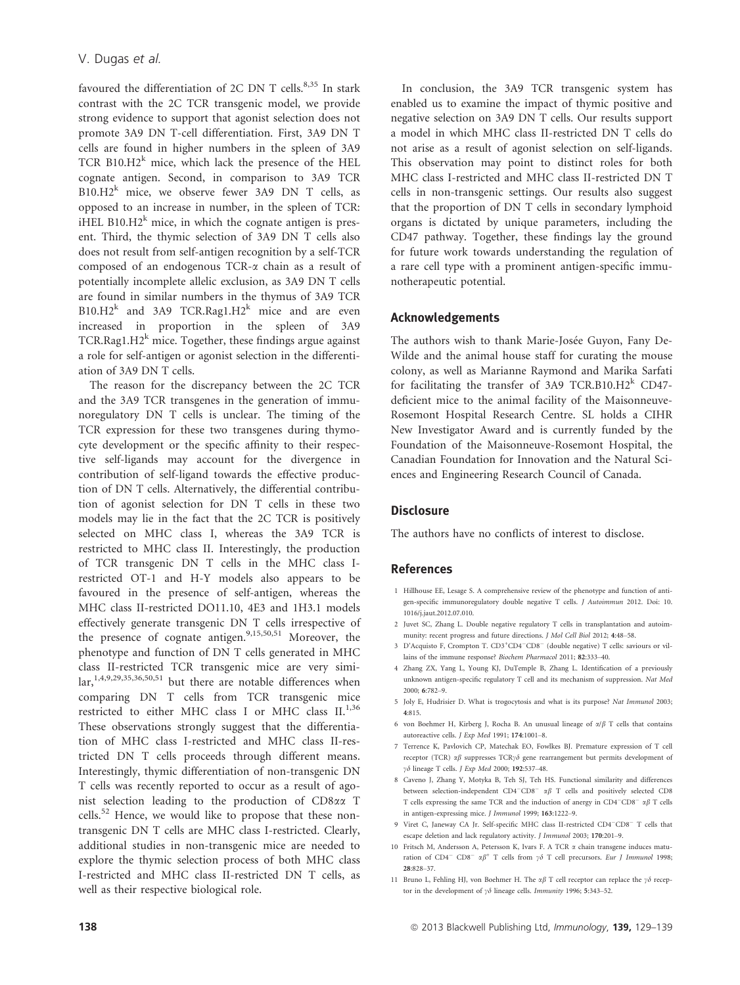favoured the differentiation of 2C DN T cells.<sup>8,35</sup> In stark contrast with the 2C TCR transgenic model, we provide strong evidence to support that agonist selection does not promote 3A9 DN T-cell differentiation. First, 3A9 DN T cells are found in higher numbers in the spleen of 3A9 TCR B10.H $2^k$  mice, which lack the presence of the HEL cognate antigen. Second, in comparison to 3A9 TCR  $B10.H2^k$  mice, we observe fewer 3A9 DN T cells, as opposed to an increase in number, in the spleen of TCR: iHEL B10.H $2^k$  mice, in which the cognate antigen is present. Third, the thymic selection of 3A9 DN T cells also does not result from self-antigen recognition by a self-TCR composed of an endogenous TCR-a chain as a result of potentially incomplete allelic exclusion, as 3A9 DN T cells are found in similar numbers in the thymus of 3A9 TCR  $B10.H2^k$  and 3A9 TCR.Rag1.H2<sup>k</sup> mice and are even increased in proportion in the spleen of 3A9 TCR.Rag1.H2<sup>k</sup> mice. Together, these findings argue against a role for self-antigen or agonist selection in the differentiation of 3A9 DN T cells.

The reason for the discrepancy between the 2C TCR and the 3A9 TCR transgenes in the generation of immunoregulatory DN T cells is unclear. The timing of the TCR expression for these two transgenes during thymocyte development or the specific affinity to their respective self-ligands may account for the divergence in contribution of self-ligand towards the effective production of DN T cells. Alternatively, the differential contribution of agonist selection for DN T cells in these two models may lie in the fact that the 2C TCR is positively selected on MHC class I, whereas the 3A9 TCR is restricted to MHC class II. Interestingly, the production of TCR transgenic DN T cells in the MHC class Irestricted OT-1 and H-Y models also appears to be favoured in the presence of self-antigen, whereas the MHC class II-restricted DO11.10, 4E3 and 1H3.1 models effectively generate transgenic DN T cells irrespective of the presence of cognate antigen.<sup>9,15,50,51</sup> Moreover, the phenotype and function of DN T cells generated in MHC class II-restricted TCR transgenic mice are very simi- $\text{lar.}^{1,4,9,29,35,36,50,51}$  but there are notable differences when comparing DN T cells from TCR transgenic mice restricted to either MHC class I or MHC class  $II^{1,36}$ These observations strongly suggest that the differentiation of MHC class I-restricted and MHC class II-restricted DN T cells proceeds through different means. Interestingly, thymic differentiation of non-transgenic DN T cells was recently reported to occur as a result of agonist selection leading to the production of CD8aa T  $cells.<sup>52</sup>$  Hence, we would like to propose that these nontransgenic DN T cells are MHC class I-restricted. Clearly, additional studies in non-transgenic mice are needed to explore the thymic selection process of both MHC class I-restricted and MHC class II-restricted DN T cells, as well as their respective biological role.

In conclusion, the 3A9 TCR transgenic system has enabled us to examine the impact of thymic positive and negative selection on 3A9 DN T cells. Our results support a model in which MHC class II-restricted DN T cells do not arise as a result of agonist selection on self-ligands. This observation may point to distinct roles for both MHC class I-restricted and MHC class II-restricted DN T cells in non-transgenic settings. Our results also suggest that the proportion of DN T cells in secondary lymphoid organs is dictated by unique parameters, including the CD47 pathway. Together, these findings lay the ground for future work towards understanding the regulation of a rare cell type with a prominent antigen-specific immunotherapeutic potential.

### Acknowledgements

The authors wish to thank Marie-Josée Guyon, Fany De-Wilde and the animal house staff for curating the mouse colony, as well as Marianne Raymond and Marika Sarfati for facilitating the transfer of 3A9 TCR.B10.H2 $^k$  CD47deficient mice to the animal facility of the Maisonneuve-Rosemont Hospital Research Centre. SL holds a CIHR New Investigator Award and is currently funded by the Foundation of the Maisonneuve-Rosemont Hospital, the Canadian Foundation for Innovation and the Natural Sciences and Engineering Research Council of Canada.

# **Disclosure**

The authors have no conflicts of interest to disclose.

#### References

- 1 Hillhouse EE, Lesage S. A comprehensive review of the phenotype and function of antigen-specific immunoregulatory double negative T cells. J Autoimmun 2012. Doi: 10. 1016/j.jaut.2012.07.010.
- 2 Juvet SC, Zhang L. Double negative regulatory T cells in transplantation and autoimmunity: recent progress and future directions. J Mol Cell Biol 2012; 4:48–58.
- 3 D'Acquisto F, Crompton T. CD3+CD4<sup>-</sup>CD8<sup>-</sup> (double negative) T cells: saviours or villains of the immune response? Biochem Pharmacol 2011; 82:333–40.
- 4 Zhang ZX, Yang L, Young KJ, DuTemple B, Zhang L. Identification of a previously unknown antigen-specific regulatory T cell and its mechanism of suppression. Nat Med 2000; 6:782–9.
- 5 Joly E, Hudrisier D. What is trogocytosis and what is its purpose? Nat Immunol 2003; 4:815.
- 6 von Boehmer H, Kirberg J, Rocha B. An unusual lineage of  $\alpha/\beta$  T cells that contains autoreactive cells. J Exp Med 1991; 174:1001–8.
- 7 Terrence K, Pavlovich CP, Matechak EO, Fowlkes BJ. Premature expression of T cell receptor (TCR)  $\alpha\beta$  suppresses TCR $\gamma\delta$  gene rearrangement but permits development of  $\gamma\delta$  lineage T cells. J Exp Med 2000; 192:537-48.
- 8 Caveno J, Zhang Y, Motyka B, Teh SJ, Teh HS. Functional similarity and differences between selection-independent  $CD4^-CD8^ \alpha\beta$  T cells and positively selected CD8 T cells expressing the same TCR and the induction of anergy in  $CD4$ <sup>- $CD8$ </sup><sup>- $\alpha\beta$ </sup> T cells in antigen-expressing mice. J Immunol 1999; 163:1222–9.
- 9 Viret C, Janeway CA Jr. Self-specific MHC class II-restricted CD4<sup>-CD8</sub> T cells that</sup> escape deletion and lack regulatory activity. J Immunol 2003; 170:201–9.
- 10 Fritsch M, Andersson A, Petersson K, Ivars F. A TCR  $\alpha$  chain transgene induces matu ration of CD4<sup>-</sup> CD8<sup>-</sup>  $\alpha\beta$ <sup>+</sup> T cells from  $\gamma\delta$  T cell precursors. Eur J Immunol 1998; 28:828–37.
- 11 Bruno L, Fehling HJ, von Boehmer H. The  $\alpha\beta$  T cell receptor can replace the  $\gamma\delta$  receptor in the development of  $\gamma\delta$  lineage cells. Immunity 1996; 5:343-52.